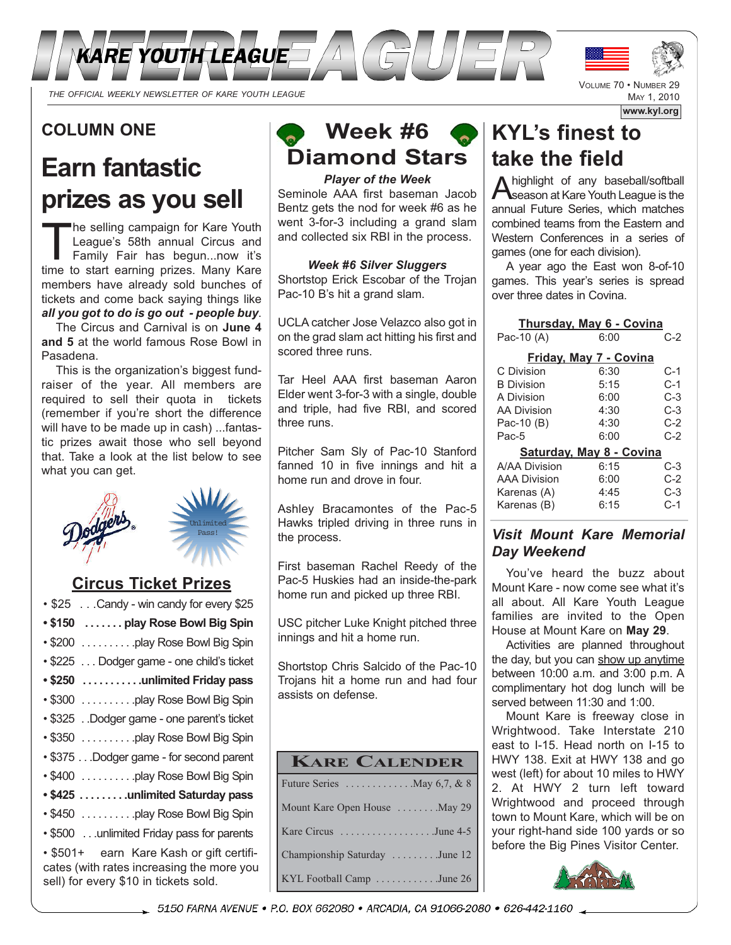

### **COLUMN ONE**

# **Earn fantastic prizes as you sell**

The selling campaign for Kare Youth League's 58th annual Circus and Family Fair has begun...now it's time to start earning prizes. Many Kare members have already sold bunches of tickets and come back saying things like *all you got to do is go out - people buy*.

The Circus and Carnival is on **June 4 and 5** at the world famous Rose Bowl in Pasadena.

This is the organization's biggest fundraiser of the year. All members are required to sell their quota in tickets (remember if you're short the difference will have to be made up in cash) ...fantastic prizes await those who sell beyond that. Take a look at the list below to see what you can get.



### **Circus Ticket Prizes**

| • \$25 Candy - win candy for every \$25                                                                                        |
|--------------------------------------------------------------------------------------------------------------------------------|
| • \$150  play Rose Bowl Big Spin                                                                                               |
| • \$200 play Rose Bowl Big Spin                                                                                                |
| • \$225 Dodger game - one child's ticket                                                                                       |
| • \$250  unlimited Friday pass                                                                                                 |
| • \$300 play Rose Bowl Big Spin                                                                                                |
| • \$325 . Dodger game - one parent's ticket                                                                                    |
| • \$350 play Rose Bowl Big Spin                                                                                                |
| • \$375 Dodger game - for second parent                                                                                        |
| • \$400 play Rose Bowl Big Spin                                                                                                |
| • \$425 unlimited Saturday pass                                                                                                |
| • \$450 play Rose Bowl Big Spin                                                                                                |
| • \$500 unlimited Friday pass for parents                                                                                      |
| • \$501+ earn Kare Kash or gift certifi-<br>cates (with rates increasing the more you<br>sell) for every \$10 in tickets sold. |

## **Week #6 Diamond Stars**

*Player of the Week* Seminole AAA first baseman Jacob Bentz gets the nod for week #6 as he went 3-for-3 including a grand slam and collected six RBI in the process.

#### *Week #6 Silver Sluggers*

Shortstop Erick Escobar of the Trojan Pac-10 B's hit a grand slam.

UCLA catcher Jose Velazco also got in on the grad slam act hitting his first and scored three runs.

Tar Heel AAA first baseman Aaron Elder went 3-for-3 with a single, double and triple, had five RBI, and scored three runs.

Pitcher Sam Sly of Pac-10 Stanford fanned 10 in five innings and hit a home run and drove in four.

Ashley Bracamontes of the Pac-5 Hawks tripled driving in three runs in the process.

First baseman Rachel Reedy of the Pac-5 Huskies had an inside-the-park home run and picked up three RBI.

USC pitcher Luke Knight pitched three innings and hit a home run.

Shortstop Chris Salcido of the Pac-10 Trojans hit a home run and had four assists on defense.

| <b>KARE CALENDER</b>                                 |
|------------------------------------------------------|
| Future Series $\dots \dots \dots \dots$ May 6,7, & 8 |
| Mount Kare Open House  May 29                        |
| Kare Circus June 4-5                                 |
| Championship Saturday June 12                        |
| KYL Football Camp June 26                            |

## **KYL's finest to take the field**

A highlight of any baseball/softball<br>Season at Kare Youth League is the annual Future Series, which matches combined teams from the Eastern and Western Conferences in a series of games (one for each division).

VOLUME 70 • NUMBER 29

MAY 1, 2010

**www.kyl.org**

A year ago the East won 8-of-10 games. This year's series is spread over three dates in Covina.

| <b>Thursday, May 6 - Covina</b> |      |       |  |  |  |  |
|---------------------------------|------|-------|--|--|--|--|
| Pac-10 (A)                      | 6:00 | $C-2$ |  |  |  |  |
| Friday, May 7 - Covina          |      |       |  |  |  |  |
| C Division                      | 6:30 | C-1   |  |  |  |  |
| <b>B</b> Division               | 5:15 | $C-1$ |  |  |  |  |
| A Division                      | 6:00 | C-3   |  |  |  |  |
| <b>AA Division</b>              | 4:30 | C-3   |  |  |  |  |
| Pac-10 (B)                      | 4:30 | C-2   |  |  |  |  |
| Pac-5                           | 6:00 | $C-2$ |  |  |  |  |
| Saturday, May 8 - Covina        |      |       |  |  |  |  |
| A/AA Division                   | 6:15 | C-3   |  |  |  |  |
| <b>AAA Division</b>             | 6:00 | C-2   |  |  |  |  |
| Karenas (A)                     | 4:45 | C-3   |  |  |  |  |
| Karenas (B)                     | 6:15 | C-1   |  |  |  |  |

#### *Visit Mount Kare Memorial Day Weekend*

You've heard the buzz about Mount Kare - now come see what it's all about. All Kare Youth League families are invited to the Open House at Mount Kare on **May 29**.

Activities are planned throughout the day, but you can show up anytime between 10:00 a.m. and 3:00 p.m. A complimentary hot dog lunch will be served between 11:30 and 1:00.

Mount Kare is freeway close in Wrightwood. Take Interstate 210 east to I-15. Head north on I-15 to HWY 138. Exit at HWY 138 and go west (left) for about 10 miles to HWY 2. At HWY 2 turn left toward Wrightwood and proceed through town to Mount Kare, which will be on your right-hand side 100 yards or so before the Big Pines Visitor Center.



5150 FARNA AVENUE • P.O. BOX 662080 • ARCADIA, CA 91066-2080 • 626-442-1160